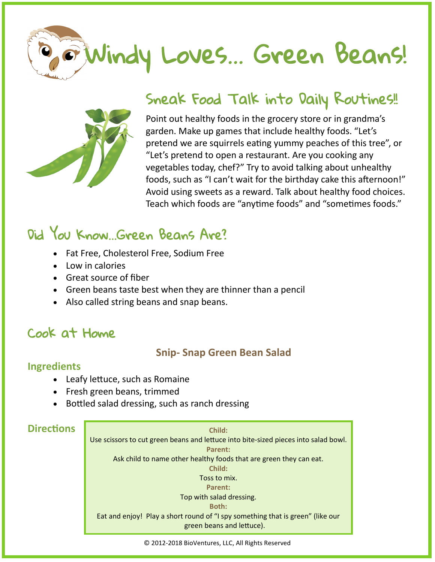



# Sneak Food Talk into Daily Routines!!

Point out healthy foods in the grocery store or in grandma's garden. Make up games that include healthy foods. "Let's pretend we are squirrels eating yummy peaches of this tree", or "Let's pretend to open a restaurant. Are you cooking any vegetables today, chef?" Try to avoid talking about unhealthy foods, such as "I can't wait for the birthday cake this afternoon!" Avoid using sweets as a reward. Talk about healthy food choices. Teach which foods are "anytime foods" and "sometimes foods."

# Did You Know…Green Beans Are?

- Fat Free, Cholesterol Free, Sodium Free
- Low in calories
- Great source of fiber
- Green beans taste best when they are thinner than a pencil
- Also called string beans and snap beans.

# Cook at Home

### **Snip- Snap Green Bean Salad**

#### **Ingredients**

- Leafy lettuce, such as Romaine
- Fresh green beans, trimmed
- Bottled salad dressing, such as ranch dressing

### **Directions**

**Child:**

Use scissors to cut green beans and lettuce into bite-sized pieces into salad bowl. **Parent:** Ask child to name other healthy foods that are green they can eat. **Child:** Toss to mix. **Parent:** Top with salad dressing. **Both:**

Eat and enjoy! Play a short round of "I spy something that is green" (like our green beans and lettuce).

© 2012-2018 BioVentures, LLC, All Rights Reserved